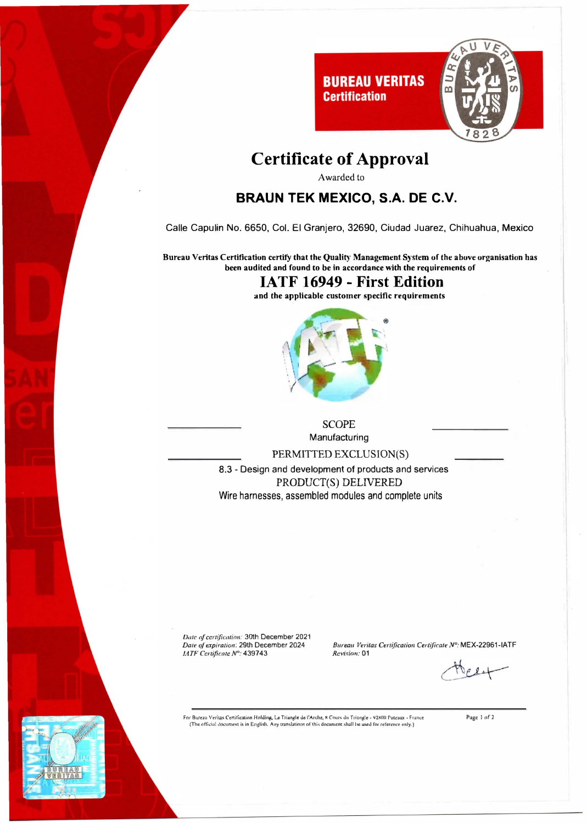

## **Certificate of Approval**

Awarded to

#### **BRAUN TEK MEXICO, S.A. DE C.V.**

Calle Capulin No. 6650, Col. El Granjero, 32690, Ciudad Juarez, Chihuahua, Mexico

Bureau Veritas Certification certify that the Quality Management System of the above organisation has been audited and found to be in accordance with the requirements of

#### **IATF 16949 - First Edition**

and the applicable customer specific requirements



**SCOPE** Manufacturing

PERMITTED EXCLUSION(S)

8.3 - Design and development of products and services PRODUCT(S) DELIVERED Wire harnesses, assembled modules and complete units

Date of certification: 30th December 2021 Date of expiration: 29th December 2024 LATF Certificate N°: 439743

Bureau Veritas Certification Certificate Nº: MEX-22961-IATF Revision: 01

For Bureau Veritas Certification Holding, Le Triangle de l'Arche, 8 Cours du Triangle - 92800 Puteaux - France<br>(The official document is in English. Any translations of this document shall be used for reference only.)

Page 1 of 2